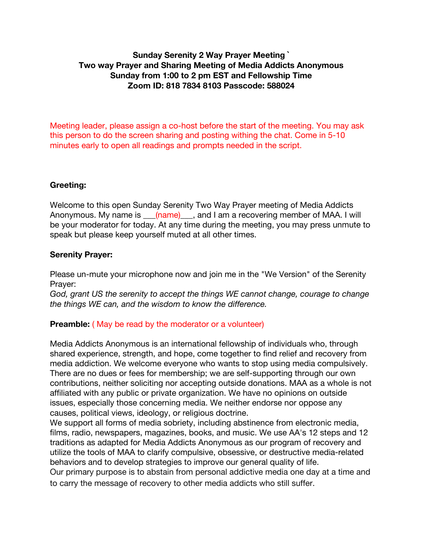## **Sunday Serenity 2 Way Prayer Meeting ` Two way Prayer and Sharing Meeting of Media Addicts Anonymous Sunday from 1:00 to 2 pm EST and Fellowship Time Zoom ID: 818 7834 8103 Passcode: 588024**

Meeting leader, please assign a co-host before the start of the meeting. You may ask this person to do the screen sharing and posting withing the chat. Come in 5-10 minutes early to open all readings and prompts needed in the script.

## **Greeting:**

Welcome to this open Sunday Serenity Two Way Prayer meeting of Media Addicts Anonymous. My name is \_\_\_(name)\_\_\_, and I am a recovering member of MAA. I will be your moderator for today. At any time during the meeting, you may press unmute to speak but please keep yourself muted at all other times.

#### **Serenity Prayer:**

Please un-mute your microphone now and join me in the "We Version" of the Serenity Prayer:

*God, grant US the serenity to accept the things WE cannot change, courage to change the things WE can, and the wisdom to know the difference.*

## **Preamble:** ( May be read by the moderator or a volunteer)

Media Addicts Anonymous is an international fellowship of individuals who, through shared experience, strength, and hope, come together to find relief and recovery from media addiction. We welcome everyone who wants to stop using media compulsively. There are no dues or fees for membership; we are self-supporting through our own contributions, neither soliciting nor accepting outside donations. MAA as a whole is not affiliated with any public or private organization. We have no opinions on outside issues, especially those concerning media. We neither endorse nor oppose any causes, political views, ideology, or religious doctrine.

We support all forms of media sobriety, including abstinence from electronic media, films, radio, newspapers, magazines, books, and music. We use AA's 12 steps and 12 traditions as adapted for Media Addicts Anonymous as our program of recovery and utilize the tools of MAA to clarify compulsive, obsessive, or destructive media-related behaviors and to develop strategies to improve our general quality of life.

Our primary purpose is to abstain from personal addictive media one day at a time and to carry the message of recovery to other media addicts who still suffer.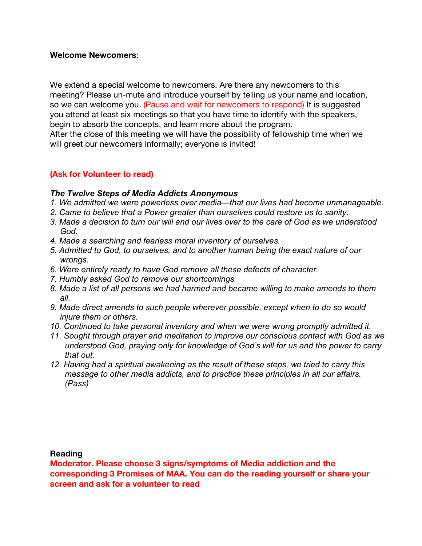#### **Welcome Newcomers**:

We extend a special welcome to newcomers. Are there any newcomers to this meeting? Please un-mute and introduce yourself by telling us your name and location, so we can welcome you. (Pause and wait for newcomers to respond) It is suggested you attend at least six meetings so that you have time to identify with the speakers, begin to absorb the concepts, and learn more about the program.

After the close of this meeting we will have the possibility of fellowship time when we will greet our newcomers informally; everyone is invited!

#### **(Ask for Volunteer to read)**

#### *The Twelve Steps of Media Addicts Anonymous*

- *1. We admitted we were powerless over media—that our lives had become unmanageable.*
- *2. Came to believe that a Power greater than ourselves could restore us to sanity.*
- *3. Made a decision to turn our will and our lives over to the care of God as we understood God.*
- *4. Made a searching and fearless moral inventory of ourselves.*
- *5. Admitted to God, to ourselves, and to another human being the exact nature of our wrongs.*
- *6. Were entirely ready to have God remove all these defects of character.*
- *7. Humbly asked God to remove our shortcomings*
- *8. Made a list of all persons we had harmed and became willing to make amends to them all.*
- *9. Made direct amends to such people wherever possible, except when to do so would injure them or others.*
- *10. Continued to take personal inventory and when we were wrong promptly admitted it.*
- *11. Sought through prayer and meditation to improve our conscious contact with God as we understood God, praying only for knowledge of God's will for us and the power to carry that out.*
- *12. Having had a spiritual awakening as the result of these steps, we tried to carry this message to other media addicts, and to practice these principles in all our affairs. (Pass)*

#### **Reading**

**Moderator. Please choose 3 signs/symptoms of Media addiction and the corresponding 3 Promises of MAA. You can do the reading yourself or share your screen and ask for a volunteer to read**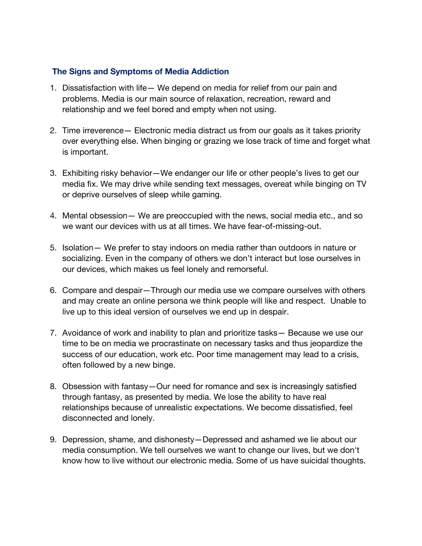### **The Signs and Symptoms of Media Addiction**

- 1. Dissatisfaction with life— We depend on media for relief from our pain and problems. Media is our main source of relaxation, recreation, reward and relationship and we feel bored and empty when not using.
- 2. Time irreverence— Electronic media distract us from our goals as it takes priority over everything else. When binging or grazing we lose track of time and forget what is important.
- 3. Exhibiting risky behavior—We endanger our life or other people's lives to get our media fix. We may drive while sending text messages, overeat while binging on TV or deprive ourselves of sleep while gaming.
- 4. Mental obsession— We are preoccupied with the news, social media etc., and so we want our devices with us at all times. We have fear-of-missing-out.
- 5. Isolation— We prefer to stay indoors on media rather than outdoors in nature or socializing. Even in the company of others we don't interact but lose ourselves in our devices, which makes us feel lonely and remorseful.
- 6. Compare and despair—Through our media use we compare ourselves with others and may create an online persona we think people will like and respect. Unable to live up to this ideal version of ourselves we end up in despair.
- 7. Avoidance of work and inability to plan and prioritize tasks— Because we use our time to be on media we procrastinate on necessary tasks and thus jeopardize the success of our education, work etc. Poor time management may lead to a crisis, often followed by a new binge.
- 8. Obsession with fantasy—Our need for romance and sex is increasingly satisfied through fantasy, as presented by media. We lose the ability to have real relationships because of unrealistic expectations. We become dissatisfied, feel disconnected and lonely.
- 9. Depression, shame, and dishonesty—Depressed and ashamed we lie about our media consumption. We tell ourselves we want to change our lives, but we don't know how to live without our electronic media. Some of us have suicidal thoughts.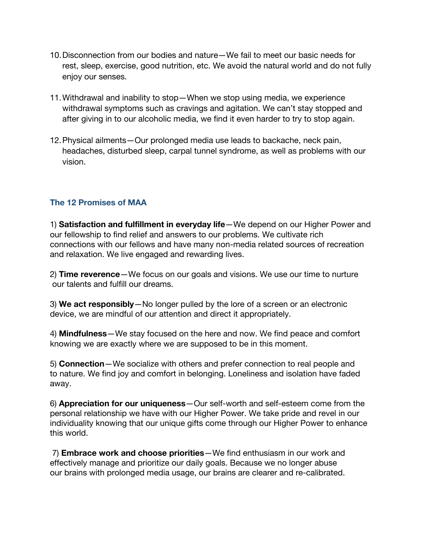- 10.Disconnection from our bodies and nature—We fail to meet our basic needs for rest, sleep, exercise, good nutrition, etc. We avoid the natural world and do not fully enjoy our senses.
- 11.Withdrawal and inability to stop—When we stop using media, we experience withdrawal symptoms such as cravings and agitation. We can't stay stopped and after giving in to our alcoholic media, we find it even harder to try to stop again.
- 12.Physical ailments—Our prolonged media use leads to backache, neck pain, headaches, disturbed sleep, carpal tunnel syndrome, as well as problems with our vision.

## **The 12 Promises of MAA**

1) **Satisfaction and fulfillment in everyday life**—We depend on our Higher Power and our fellowship to find relief and answers to our problems. We cultivate rich connections with our fellows and have many non-media related sources of recreation and relaxation. We live engaged and rewarding lives.

2) **Time reverence**—We focus on our goals and visions. We use our time to nurture our talents and fulfill our dreams.

3) **We act responsibly**—No longer pulled by the lore of a screen or an electronic device, we are mindful of our attention and direct it appropriately.

4) **Mindfulness**—We stay focused on the here and now. We find peace and comfort knowing we are exactly where we are supposed to be in this moment.

5) **Connection**—We socialize with others and prefer connection to real people and to nature. We find joy and comfort in belonging. Loneliness and isolation have faded away.

6) **Appreciation for our uniqueness**—Our self-worth and self-esteem come from the personal relationship we have with our Higher Power. We take pride and revel in our individuality knowing that our unique gifts come through our Higher Power to enhance this world.

7) **Embrace work and choose priorities**—We find enthusiasm in our work and effectively manage and prioritize our daily goals. Because we no longer abuse our brains with prolonged media usage, our brains are clearer and re-calibrated.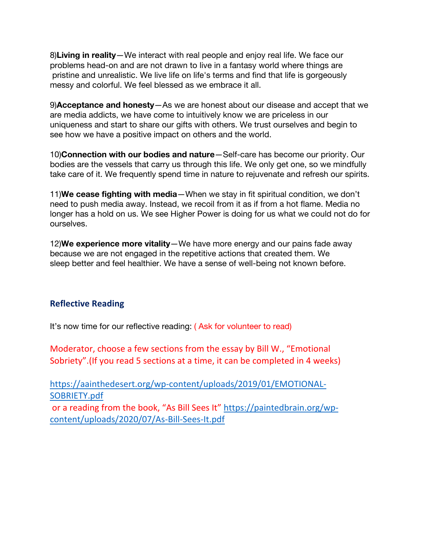8)**Living in reality**—We interact with real people and enjoy real life. We face our problems head-on and are not drawn to live in a fantasy world where things are pristine and unrealistic. We live life on life's terms and find that life is gorgeously messy and colorful. We feel blessed as we embrace it all.

9)**Acceptance and honesty**—As we are honest about our disease and accept that we are media addicts, we have come to intuitively know we are priceless in our uniqueness and start to share our gifts with others. We trust ourselves and begin to see how we have a positive impact on others and the world.

10)**Connection with our bodies and nature**—Self-care has become our priority. Our bodies are the vessels that carry us through this life. We only get one, so we mindfully take care of it. We frequently spend time in nature to rejuvenate and refresh our spirits.

11)**We cease fighting with media**—When we stay in fit spiritual condition, we don't need to push media away. Instead, we recoil from it as if from a hot flame. Media no longer has a hold on us. We see Higher Power is doing for us what we could not do for ourselves.

12)**We experience more vitality**—We have more energy and our pains fade away because we are not engaged in the repetitive actions that created them. We sleep better and feel healthier. We have a sense of well-being not known before.

## **Reflective Reading**

It's now time for our reflective reading: ( Ask for volunteer to read)

Moderator, choose a few sections from the essay by Bill W., "Emotional Sobriety".(If you read 5 sections at a time, it can be completed in 4 weeks)

https://aainthedesert.org/wp-content/uploads/2019/01/EMOTIONAL-SOBRIETY.pdf or a reading from the book, "As Bill Sees It" https://paintedbrain.org/wpcontent/uploads/2020/07/As-Bill-Sees-It.pdf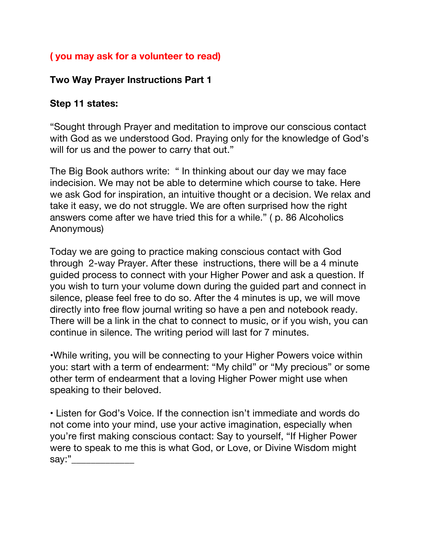## **( you may ask for a volunteer to read)**

## **Two Way Prayer Instructions Part 1**

## **Step 11 states:**

"Sought through Prayer and meditation to improve our conscious contact with God as we understood God. Praying only for the knowledge of God's will for us and the power to carry that out."

The Big Book authors write: " In thinking about our day we may face indecision. We may not be able to determine which course to take. Here we ask God for inspiration, an intuitive thought or a decision. We relax and take it easy, we do not struggle. We are often surprised how the right answers come after we have tried this for a while." ( p. 86 Alcoholics Anonymous)

Today we are going to practice making conscious contact with God through 2-way Prayer. After these instructions, there will be a 4 minute guided process to connect with your Higher Power and ask a question. If you wish to turn your volume down during the guided part and connect in silence, please feel free to do so. After the 4 minutes is up, we will move directly into free flow journal writing so have a pen and notebook ready. There will be a link in the chat to connect to music, or if you wish, you can continue in silence. The writing period will last for 7 minutes.

•While writing, you will be connecting to your Higher Powers voice within you: start with a term of endearment: "My child" or "My precious" or some other term of endearment that a loving Higher Power might use when speaking to their beloved.

• Listen for God's Voice. If the connection isn't immediate and words do not come into your mind, use your active imagination, especially when you're first making conscious contact: Say to yourself, "If Higher Power were to speak to me this is what God, or Love, or Divine Wisdom might say:"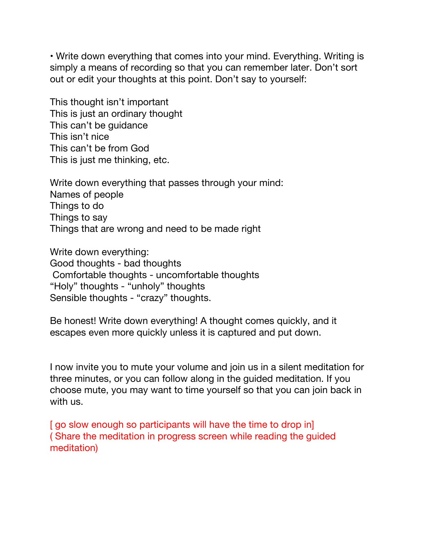• Write down everything that comes into your mind. Everything. Writing is simply a means of recording so that you can remember later. Don't sort out or edit your thoughts at this point. Don't say to yourself:

This thought isn't important This is just an ordinary thought This can't be guidance This isn't nice This can't be from God This is just me thinking, etc.

Write down everything that passes through your mind: Names of people Things to do Things to say Things that are wrong and need to be made right

Write down everything: Good thoughts - bad thoughts Comfortable thoughts - uncomfortable thoughts "Holy" thoughts - "unholy" thoughts Sensible thoughts - "crazy" thoughts.

Be honest! Write down everything! A thought comes quickly, and it escapes even more quickly unless it is captured and put down.

I now invite you to mute your volume and join us in a silent meditation for three minutes, or you can follow along in the guided meditation. If you choose mute, you may want to time yourself so that you can join back in with us.

[ go slow enough so participants will have the time to drop in] ( Share the meditation in progress screen while reading the guided meditation)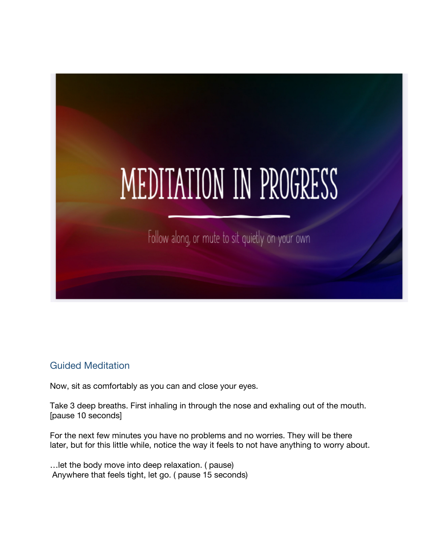

## Guided Meditation

Now, sit as comfortably as you can and close your eyes.

Take 3 deep breaths. First inhaling in through the nose and exhaling out of the mouth. [pause 10 seconds]

For the next few minutes you have no problems and no worries. They will be there later, but for this little while, notice the way it feels to not have anything to worry about.

…let the body move into deep relaxation. ( pause) Anywhere that feels tight, let go. ( pause 15 seconds)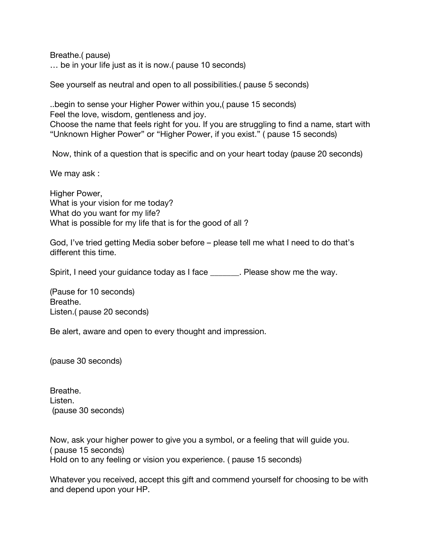Breathe.( pause) … be in your life just as it is now.( pause 10 seconds)

See yourself as neutral and open to all possibilities.( pause 5 seconds)

..begin to sense your Higher Power within you,( pause 15 seconds) Feel the love, wisdom, gentleness and joy. Choose the name that feels right for you. If you are struggling to find a name, start with "Unknown Higher Power" or "Higher Power, if you exist." ( pause 15 seconds)

Now, think of a question that is specific and on your heart today (pause 20 seconds)

We may ask :

Higher Power, What is your vision for me today? What do you want for my life? What is possible for my life that is for the good of all ?

God, I've tried getting Media sober before – please tell me what I need to do that's different this time.

Spirit, I need your guidance today as I face \_\_\_\_\_\_\_. Please show me the way.

(Pause for 10 seconds) Breathe. Listen.( pause 20 seconds)

Be alert, aware and open to every thought and impression.

(pause 30 seconds)

Breathe. Listen. (pause 30 seconds)

Now, ask your higher power to give you a symbol, or a feeling that will guide you. ( pause 15 seconds) Hold on to any feeling or vision you experience. ( pause 15 seconds)

Whatever you received, accept this gift and commend yourself for choosing to be with and depend upon your HP.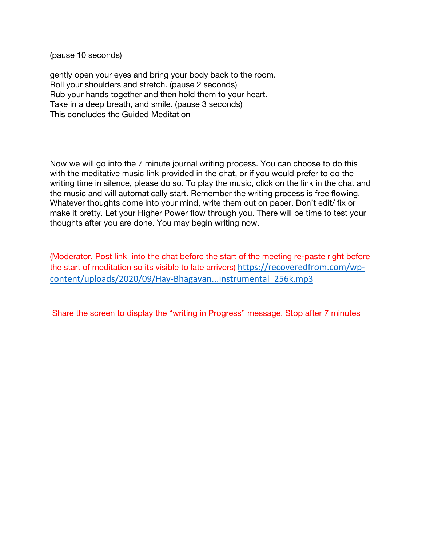(pause 10 seconds)

gently open your eyes and bring your body back to the room. Roll your shoulders and stretch. (pause 2 seconds) Rub your hands together and then hold them to your heart. Take in a deep breath, and smile. (pause 3 seconds) This concludes the Guided Meditation

Now we will go into the 7 minute journal writing process. You can choose to do this with the meditative music link provided in the chat, or if you would prefer to do the writing time in silence, please do so. To play the music, click on the link in the chat and the music and will automatically start. Remember the writing process is free flowing. Whatever thoughts come into your mind, write them out on paper. Don't edit/ fix or make it pretty. Let your Higher Power flow through you. There will be time to test your thoughts after you are done. You may begin writing now.

(Moderator, Post link into the chat before the start of the meeting re-paste right before the start of meditation so its visible to late arrivers) https://recoveredfrom.com/wpcontent/uploads/2020/09/Hay-Bhagavan...instrumental\_256k.mp3

Share the screen to display the "writing in Progress" message. Stop after 7 minutes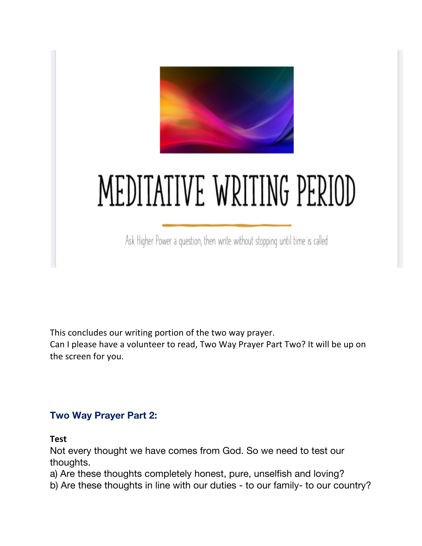

# MEDITATIVE WRITING PERIOD

Ask Higher Power a question, then write without stopping until time is called

This concludes our writing portion of the two way prayer.

Can I please have a volunteer to read, Two Way Prayer Part Two? It will be up on the screen for you.

# **Two Way Prayer Part 2:**

**Test** 

Not every thought we have comes from God. So we need to test our thoughts.

a) Are these thoughts completely honest, pure, unselfish and loving?

b) Are these thoughts in line with our duties - to our family- to our country?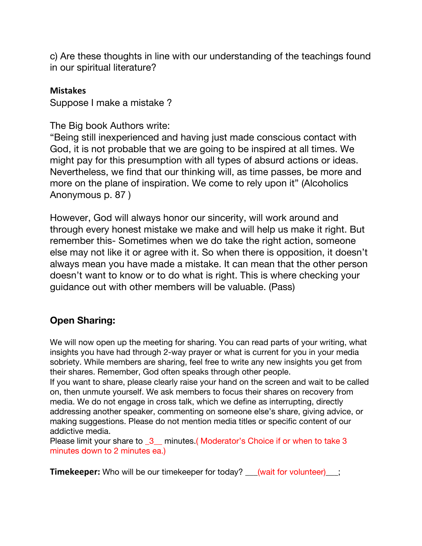c) Are these thoughts in line with our understanding of the teachings found in our spiritual literature?

## **Mistakes**

Suppose I make a mistake ?

The Big book Authors write:

"Being still inexperienced and having just made conscious contact with God, it is not probable that we are going to be inspired at all times. We might pay for this presumption with all types of absurd actions or ideas. Nevertheless, we find that our thinking will, as time passes, be more and more on the plane of inspiration. We come to rely upon it" (Alcoholics Anonymous p. 87 )

However, God will always honor our sincerity, will work around and through every honest mistake we make and will help us make it right. But remember this- Sometimes when we do take the right action, someone else may not like it or agree with it. So when there is opposition, it doesn't always mean you have made a mistake. It can mean that the other person doesn't want to know or to do what is right. This is where checking your guidance out with other members will be valuable. (Pass)

# **Open Sharing:**

We will now open up the meeting for sharing. You can read parts of your writing, what insights you have had through 2-way prayer or what is current for you in your media sobriety. While members are sharing, feel free to write any new insights you get from their shares. Remember, God often speaks through other people.

If you want to share, please clearly raise your hand on the screen and wait to be called on, then unmute yourself. We ask members to focus their shares on recovery from media. We do not engage in cross talk, which we define as interrupting, directly addressing another speaker, commenting on someone else's share, giving advice, or making suggestions. Please do not mention media titles or specific content of our addictive media.

Please limit your share to 3\_ minutes.(Moderator's Choice if or when to take 3 minutes down to 2 minutes ea.)

**Timekeeper:** Who will be our timekeeper for today? <u>(wait for volunteer);</u>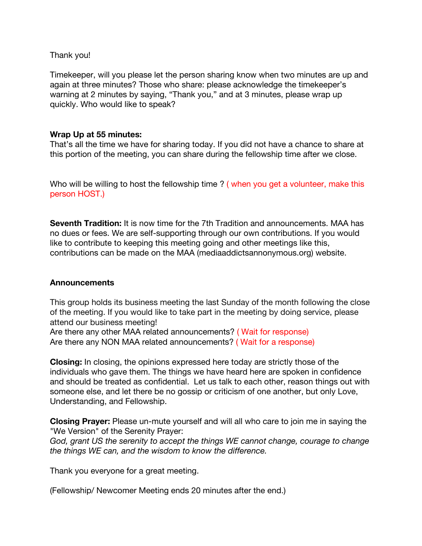Thank you!

Timekeeper, will you please let the person sharing know when two minutes are up and again at three minutes? Those who share: please acknowledge the timekeeper's warning at 2 minutes by saying, "Thank you," and at 3 minutes, please wrap up quickly. Who would like to speak?

## **Wrap Up at 55 minutes:**

That's all the time we have for sharing today. If you did not have a chance to share at this portion of the meeting, you can share during the fellowship time after we close.

Who will be willing to host the fellowship time ? ( when you get a volunteer, make this person HOST.)

**Seventh Tradition:** It is now time for the 7th Tradition and announcements. MAA has no dues or fees. We are self-supporting through our own contributions. If you would like to contribute to keeping this meeting going and other meetings like this, contributions can be made on the MAA (mediaaddictsannonymous.org) website.

#### **Announcements**

This group holds its business meeting the last Sunday of the month following the close of the meeting. If you would like to take part in the meeting by doing service, please attend our business meeting!

Are there any other MAA related announcements? ( Wait for response) Are there any NON MAA related announcements? ( Wait for a response)

**Closing:** In closing, the opinions expressed here today are strictly those of the individuals who gave them. The things we have heard here are spoken in confidence and should be treated as confidential. Let us talk to each other, reason things out with someone else, and let there be no gossip or criticism of one another, but only Love, Understanding, and Fellowship.

**Closing Prayer:** Please un-mute yourself and will all who care to join me in saying the "We Version" of the Serenity Prayer:

*God, grant US the serenity to accept the things WE cannot change, courage to change the things WE can, and the wisdom to know the difference.* 

Thank you everyone for a great meeting.

(Fellowship/ Newcomer Meeting ends 20 minutes after the end.)